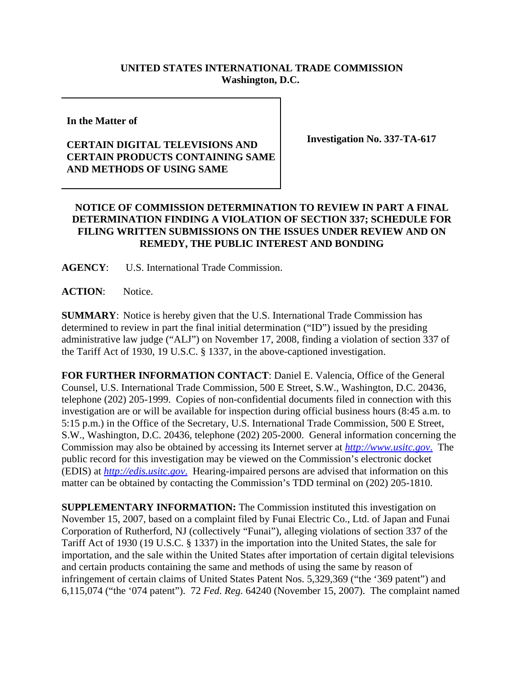## **UNITED STATES INTERNATIONAL TRADE COMMISSION Washington, D.C.**

**In the Matter of** 

## **CERTAIN DIGITAL TELEVISIONS AND CERTAIN PRODUCTS CONTAINING SAME AND METHODS OF USING SAME**

**Investigation No. 337-TA-617**

## **NOTICE OF COMMISSION DETERMINATION TO REVIEW IN PART A FINAL DETERMINATION FINDING A VIOLATION OF SECTION 337; SCHEDULE FOR FILING WRITTEN SUBMISSIONS ON THE ISSUES UNDER REVIEW AND ON REMEDY, THE PUBLIC INTEREST AND BONDING**

**AGENCY**: U.S. International Trade Commission.

**ACTION**: Notice.

**SUMMARY**: Notice is hereby given that the U.S. International Trade Commission has determined to review in part the final initial determination ("ID") issued by the presiding administrative law judge ("ALJ") on November 17, 2008, finding a violation of section 337 of the Tariff Act of 1930, 19 U.S.C. § 1337, in the above-captioned investigation.

**FOR FURTHER INFORMATION CONTACT**: Daniel E. Valencia, Office of the General Counsel, U.S. International Trade Commission, 500 E Street, S.W., Washington, D.C. 20436, telephone (202) 205-1999. Copies of non-confidential documents filed in connection with this investigation are or will be available for inspection during official business hours (8:45 a.m. to 5:15 p.m.) in the Office of the Secretary, U.S. International Trade Commission, 500 E Street, S.W., Washington, D.C. 20436, telephone (202) 205-2000. General information concerning the Commission may also be obtained by accessing its Internet server at *http://www.usitc.gov*. The public record for this investigation may be viewed on the Commission's electronic docket (EDIS) at *http://edis.usitc.gov*. Hearing-impaired persons are advised that information on this matter can be obtained by contacting the Commission's TDD terminal on (202) 205-1810.

**SUPPLEMENTARY INFORMATION:** The Commission instituted this investigation on November 15, 2007, based on a complaint filed by Funai Electric Co., Ltd. of Japan and Funai Corporation of Rutherford, NJ (collectively "Funai"), alleging violations of section 337 of the Tariff Act of 1930 (19 U.S.C. § 1337) in the importation into the United States, the sale for importation, and the sale within the United States after importation of certain digital televisions and certain products containing the same and methods of using the same by reason of infringement of certain claims of United States Patent Nos. 5,329,369 ("the '369 patent") and 6,115,074 ("the '074 patent"). 72 *Fed. Reg.* 64240 (November 15, 2007). The complaint named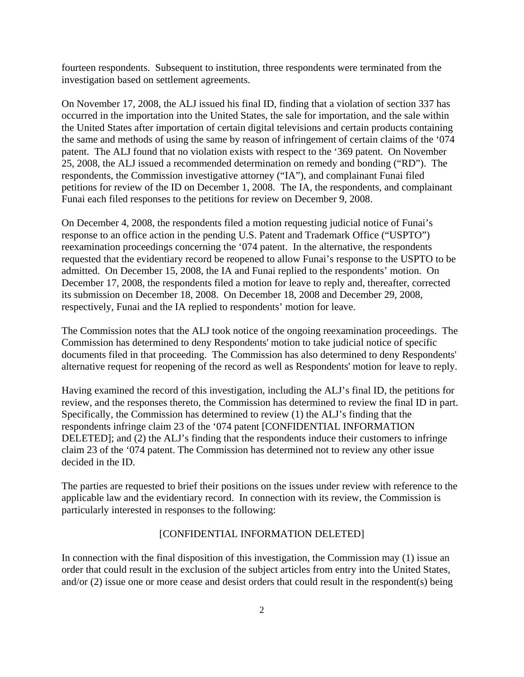fourteen respondents. Subsequent to institution, three respondents were terminated from the investigation based on settlement agreements.

On November 17, 2008, the ALJ issued his final ID, finding that a violation of section 337 has occurred in the importation into the United States, the sale for importation, and the sale within the United States after importation of certain digital televisions and certain products containing the same and methods of using the same by reason of infringement of certain claims of the '074 patent. The ALJ found that no violation exists with respect to the '369 patent. On November 25, 2008, the ALJ issued a recommended determination on remedy and bonding ("RD"). The respondents, the Commission investigative attorney ("IA"), and complainant Funai filed petitions for review of the ID on December 1, 2008. The IA, the respondents, and complainant Funai each filed responses to the petitions for review on December 9, 2008.

On December 4, 2008, the respondents filed a motion requesting judicial notice of Funai's response to an office action in the pending U.S. Patent and Trademark Office ("USPTO") reexamination proceedings concerning the '074 patent. In the alternative, the respondents requested that the evidentiary record be reopened to allow Funai's response to the USPTO to be admitted. On December 15, 2008, the IA and Funai replied to the respondents' motion. On December 17, 2008, the respondents filed a motion for leave to reply and, thereafter, corrected its submission on December 18, 2008. On December 18, 2008 and December 29, 2008, respectively, Funai and the IA replied to respondents' motion for leave.

The Commission notes that the ALJ took notice of the ongoing reexamination proceedings. The Commission has determined to deny Respondents' motion to take judicial notice of specific documents filed in that proceeding. The Commission has also determined to deny Respondents' alternative request for reopening of the record as well as Respondents' motion for leave to reply.

Having examined the record of this investigation, including the ALJ's final ID, the petitions for review, and the responses thereto, the Commission has determined to review the final ID in part. Specifically, the Commission has determined to review (1) the ALJ's finding that the respondents infringe claim 23 of the '074 patent [CONFIDENTIAL INFORMATION DELETED]; and (2) the ALJ's finding that the respondents induce their customers to infringe claim 23 of the '074 patent. The Commission has determined not to review any other issue decided in the ID.

The parties are requested to brief their positions on the issues under review with reference to the applicable law and the evidentiary record. In connection with its review, the Commission is particularly interested in responses to the following:

## [CONFIDENTIAL INFORMATION DELETED]

In connection with the final disposition of this investigation, the Commission may (1) issue an order that could result in the exclusion of the subject articles from entry into the United States, and/or (2) issue one or more cease and desist orders that could result in the respondent(s) being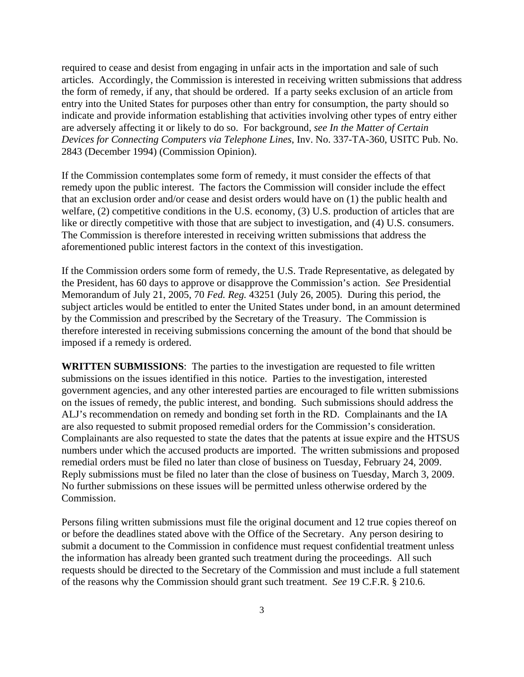required to cease and desist from engaging in unfair acts in the importation and sale of such articles. Accordingly, the Commission is interested in receiving written submissions that address the form of remedy, if any, that should be ordered. If a party seeks exclusion of an article from entry into the United States for purposes other than entry for consumption, the party should so indicate and provide information establishing that activities involving other types of entry either are adversely affecting it or likely to do so. For background, *see In the Matter of Certain Devices for Connecting Computers via Telephone Lines*, Inv. No. 337-TA-360, USITC Pub. No. 2843 (December 1994) (Commission Opinion).

If the Commission contemplates some form of remedy, it must consider the effects of that remedy upon the public interest. The factors the Commission will consider include the effect that an exclusion order and/or cease and desist orders would have on (1) the public health and welfare, (2) competitive conditions in the U.S. economy, (3) U.S. production of articles that are like or directly competitive with those that are subject to investigation, and (4) U.S. consumers. The Commission is therefore interested in receiving written submissions that address the aforementioned public interest factors in the context of this investigation.

If the Commission orders some form of remedy, the U.S. Trade Representative, as delegated by the President, has 60 days to approve or disapprove the Commission's action. *See* Presidential Memorandum of July 21, 2005, 70 *Fed. Reg.* 43251 (July 26, 2005). During this period, the subject articles would be entitled to enter the United States under bond, in an amount determined by the Commission and prescribed by the Secretary of the Treasury. The Commission is therefore interested in receiving submissions concerning the amount of the bond that should be imposed if a remedy is ordered.

**WRITTEN SUBMISSIONS**:The parties to the investigation are requested to file written submissions on the issues identified in this notice. Parties to the investigation, interested government agencies, and any other interested parties are encouraged to file written submissions on the issues of remedy, the public interest, and bonding. Such submissions should address the ALJ's recommendation on remedy and bonding set forth in the RD. Complainants and the IA are also requested to submit proposed remedial orders for the Commission's consideration. Complainants are also requested to state the dates that the patents at issue expire and the HTSUS numbers under which the accused products are imported. The written submissions and proposed remedial orders must be filed no later than close of business on Tuesday, February 24, 2009. Reply submissions must be filed no later than the close of business on Tuesday, March 3, 2009. No further submissions on these issues will be permitted unless otherwise ordered by the Commission.

Persons filing written submissions must file the original document and 12 true copies thereof on or before the deadlines stated above with the Office of the Secretary. Any person desiring to submit a document to the Commission in confidence must request confidential treatment unless the information has already been granted such treatment during the proceedings. All such requests should be directed to the Secretary of the Commission and must include a full statement of the reasons why the Commission should grant such treatment. *See* 19 C.F.R. § 210.6.